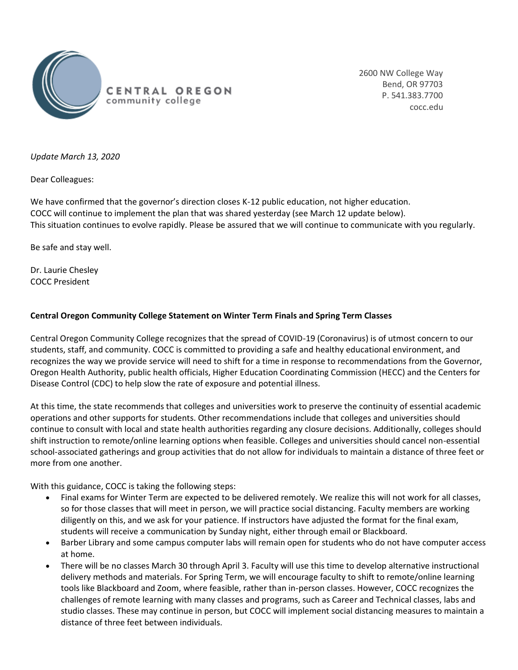

2600 NW College Way Bend, OR 97703 P. 541.383.7700 cocc.edu

*Update March 13, 2020*

Dear Colleagues:

We have confirmed that the governor's direction closes K-12 public education, not higher education. COCC will continue to implement the plan that was shared yesterday (see March 12 update below). This situation continues to evolve rapidly. Please be assured that we will continue to communicate with you regularly.

Be safe and stay well.

Dr. Laurie Chesley COCC President

## **Central Oregon Community College Statement on Winter Term Finals and Spring Term Classes**

Central Oregon Community College recognizes that the spread of COVID-19 (Coronavirus) is of utmost concern to our students, staff, and community. COCC is committed to providing a safe and healthy educational environment, and recognizes the way we provide service will need to shift for a time in response to recommendations from the Governor, Oregon Health Authority, public health officials, Higher Education Coordinating Commission (HECC) and the Centers for Disease Control (CDC) to help slow the rate of exposure and potential illness.

At this time, the state recommends that colleges and universities work to preserve the continuity of essential academic operations and other supports for students. Other recommendations include that colleges and universities should continue to consult with local and state health authorities regarding any closure decisions. Additionally, colleges should shift instruction to remote/online learning options when feasible. Colleges and universities should cancel non-essential school-associated gatherings and group activities that do not allow for individuals to maintain a distance of three feet or more from one another.

With this guidance, COCC is taking the following steps:

- Final exams for Winter Term are expected to be delivered remotely. We realize this will not work for all classes, so for those classes that will meet in person, we will practice social distancing. Faculty members are working diligently on this, and we ask for your patience. If instructors have adjusted the format for the final exam, students will receive a communication by Sunday night, either through email or Blackboard.
- Barber Library and some campus computer labs will remain open for students who do not have computer access at home.
- There will be no classes March 30 through April 3. Faculty will use this time to develop alternative instructional delivery methods and materials. For Spring Term, we will encourage faculty to shift to remote/online learning tools like Blackboard and Zoom, where feasible, rather than in-person classes. However, COCC recognizes the challenges of remote learning with many classes and programs, such as Career and Technical classes, labs and studio classes. These may continue in person, but COCC will implement social distancing measures to maintain a distance of three feet between individuals.